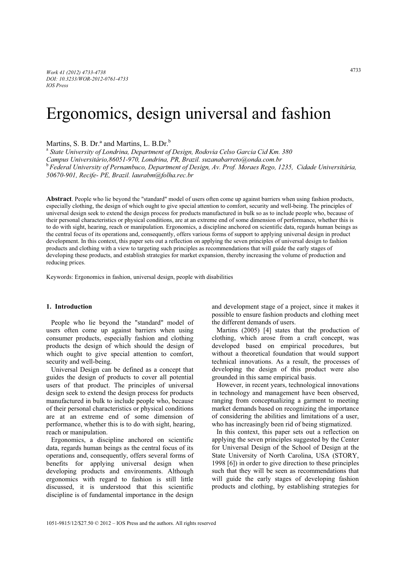# Ergonomics, design universal and fashion

Martins, S. B. Dr.<sup>a</sup> and Martins, L. B.Dr.<sup>b</sup>

<sup>a</sup> State University of Londrina, Department of Design, Rodovia Celso Garcia Cid Km. 380 *Campus Universitário,86051-970, Londrina, PR, Brazil. suzanabarreto@onda.com.br* <sup>b</sup>*Federal University of Pernambuco, Department of Design, Av. Prof. Moraes Rego, 1235, Cidade Universitária, 50670-901, Recife- PE, Brazil. laurabm@folha.rec.br* 

**Abstract**. People who lie beyond the "standard" model of users often come up against barriers when using fashion products, especially clothing, the design of which ought to give special attention to comfort, security and well-being. The principles of universal design seek to extend the design process for products manufactured in bulk so as to include people who, because of their personal characteristics or physical conditions, are at an extreme end of some dimension of performance, whether this is to do with sight, hearing, reach or manipulation. Ergonomics, a discipline anchored on scientific data, regards human beings as the central focus of its operations and, consequently, offers various forms of support to applying universal design in product development. In this context, this paper sets out a reflection on applying the seven principles of universal design to fashion products and clothing with a view to targeting such principles as recommendations that will guide the early stages of developing these products, and establish strategies for market expansion, thereby increasing the volume of production and reducing prices.

Keywords: Ergonomics in fashion, universal design, people with disabilities

#### **1. Introduction**

People who lie beyond the "standard" model of users often come up against barriers when using consumer products, especially fashion and clothing products the design of which should the design of which ought to give special attention to comfort, security and well-being.

Universal Design can be defined as a concept that guides the design of products to cover all potential users of that product. The principles of universal design seek to extend the design process for products manufactured in bulk to include people who, because of their personal characteristics or physical conditions are at an extreme end of some dimension of performance, whether this is to do with sight, hearing, reach or manipulation.

Ergonomics, a discipline anchored on scientific data, regards human beings as the central focus of its operations and, consequently, offers several forms of benefits for applying universal design when developing products and environments. Although ergonomics with regard to fashion is still little discussed, it is understood that this scientific discipline is of fundamental importance in the design and development stage of a project, since it makes it possible to ensure fashion products and clothing meet the different demands of users.

Martins (2005) [4] states that the production of clothing, which arose from a craft concept, was developed based on empirical procedures, but without a theoretical foundation that would support technical innovations. As a result, the processes of developing the design of this product were also grounded in this same empirical basis.

However, in recent years, technological innovations in technology and management have been observed, ranging from conceptualizing a garment to meeting market demands based on recognizing the importance of considering the abilities and limitations of a user, who has increasingly been rid of being stigmatized.

In this context, this paper sets out a reflection on applying the seven principles suggested by the Center for Universal Design of the School of Design at the State University of North Carolina, USA (STORY, 1998 [6]) in order to give direction to these principles such that they will be seen as recommendations that will guide the early stages of developing fashion products and clothing, by establishing strategies for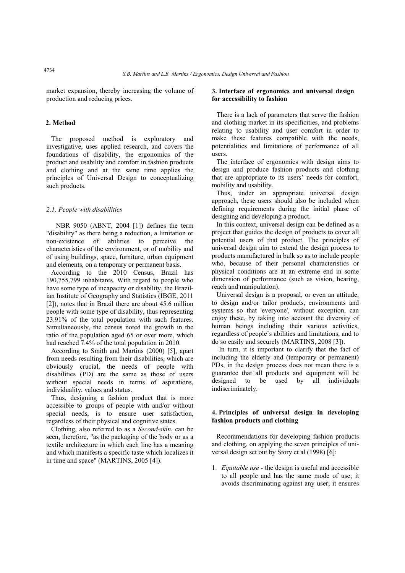market expansion, thereby increasing the volume of production and reducing prices.

## **2. Method**

The proposed method is exploratory and investigative, uses applied research, and covers the foundations of disability, the ergonomics of the product and usability and comfort in fashion products and clothing and at the same time applies the principles of Universal Design to conceptualizing such products.

#### *2.1. People with disabilities*

NBR 9050 (ABNT, 2004 [1]) defines the term "disability" as there being a reduction, a limitation or non-existence of abilities to perceive the characteristics of the environment, or of mobility and of using buildings, space, furniture, urban equipment and elements, on a temporary or permanent basis.

According to the 2010 Census, Brazil has 190,755,799 inhabitants. With regard to people who have some type of incapacity or disability, the Brazilian Institute of Geography and Statistics (IBGE, 2011 [2]), notes that in Brazil there are about 45.6 million people with some type of disability, thus representing 23.91% of the total population with such features. Simultaneously, the census noted the growth in the ratio of the population aged 65 or over more, which had reached 7.4% of the total population in 2010.

According to Smith and Martins (2000) [5], apart from needs resulting from their disabilities, which are obviously crucial, the needs of people with disabilities (PD) are the same as those of users without special needs in terms of aspirations, individuality, values and status.

Thus, designing a fashion product that is more accessible to groups of people with and/or without special needs, is to ensure user satisfaction, regardless of their physical and cognitive states.

Clothing, also referred to as a *Second-skin*, can be seen, therefore, "as the packaging of the body or as a textile architecture in which each line has a meaning and which manifests a specific taste which localizes it in time and space" (MARTINS, 2005 [4]).

### **3. Interface of ergonomics and universal design for accessibility to fashion**

There is a lack of parameters that serve the fashion and clothing market in its specificities, and problems relating to usability and user comfort in order to make these features compatible with the needs, potentialities and limitations of performance of all users.

The interface of ergonomics with design aims to design and produce fashion products and clothing that are appropriate to its users' needs for comfort, mobility and usability.

Thus, under an appropriate universal design approach, these users should also be included when defining requirements during the initial phase of designing and developing a product.

In this context, universal design can be defined as a project that guides the design of products to cover all potential users of that product. The principles of universal design aim to extend the design process to products manufactured in bulk so as to include people who, because of their personal characteristics or physical conditions are at an extreme end in some dimension of performance (such as vision, hearing, reach and manipulation).

Universal design is a proposal, or even an attitude, to design and/or tailor products, environments and systems so that 'everyone', without exception, can enjoy these, by taking into account the diversity of human beings including their various activities, regardless of people's abilities and limitations, and to do so easily and securely (MARTINS, 2008 [3]).

In turn, it is important to clarify that the fact of including the elderly and (temporary or permanent) PDs, in the design process does not mean there is a guarantee that all products and equipment will be designed to be used by all individuals indiscriminately.

## **4. Principles of universal design in developing fashion products and clothing**

Recommendations for developing fashion products and clothing, on applying the seven principles of universal design set out by Story et al (1998) [6]:

1. *Equitable use* - the design is useful and accessible to all people and has the same mode of use; it avoids discriminating against any user; it ensures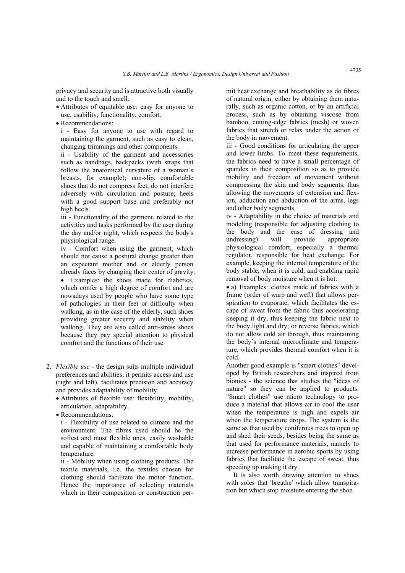privacy and security and is attractive both visually and to the touch and smell.

- Attributes of equitable use: easy for anyone to use, usability, functionality, comfort.
- Recommendations:

i - Easy for anyone to use with regard to maintaining the garment, such as easy to clean, changing trimmings and other components.

ii - Usability of the garment and accessories such as handbags, backpacks (with straps that follow the anatomical curvature of a woman´s breasts, for example); non-slip, comfortable shoes that do not compress feet, do not interfere adversely with circulation and posture; heels with a good support base and preferably not high heels.

iii - Functionality of the garment, related to the activities and tasks performed by the user during the day and/or night, which respects the body's physiological range.

iv - Comfort when using the garment, which should not cause a postural change greater than an expectant mother and or elderly person already faces by changing their center of gravity. - Examples: the shoes made for diabetics, which confer a high degree of comfort and are nowadays used by people who have some type of pathologies in their feet or difficulty when walking, as in the case of the elderly, such shoes providing greater security and stability when walking. They are also called anti-stress shoes because they pay special attention to physical comfort and the functions of their use.

- 2. *Flexible use* the design suits multiple individual preferences and abilities; it permits access and use (right and left), facilitates precision and accuracy and provides adaptability of mobility.
	- Attributes of flexible use: flexibility, mobility, articulation, adaptability.
	- Recommendations:

i - Flexibility of use related to climate and the environment. The fibres used should be the softest and most flexible ones, easily washable and capable of maintaining a comfortable body temperature.

ii - Mobility when using clothing products. The textile materials, i.e. the textiles chosen for clothing should facilitate the motor function. Hence the importance of selecting materials which in their composition or construction permit heat exchange and breathability as do fibres of natural origin, either by obtaining them naturally, such as organic cotton, or by an artificial process, such as by obtaining viscose from bamboo, cutting-edge fabrics (mesh) or woven fabrics that stretch or relax under the action of the body in movement.

iii - Good conditions for articulating the upper and lower limbs. To meet these requirements, the fabrics need to have a small percentage of spandex in their composition so as to provide mobility and freedom of movement without compressing the skin and body segments, thus allowing the movements of extension and flexion, adduction and abduction of the arms, legs and other body segments.

iv - Adaptability in the choice of materials and modeling (responsible for adjusting clothing to the body and the ease of dressing and undressing) will provide appropriate physiological comfort, especially a thermal regulator, responsible for heat exchange. For example, keeping the internal temperature of the body stable, when it is cold, and enabling rapid removal of body moisture when it is hot:

- a) Examples: clothes made of fabrics with a frame (order of warp and weft) that allows perspiration to evaporate, which facilitates the escape of sweat from the fabric thus accelerating keeping it dry, thus keeping the fabric next to the body light and dry; or reverse fabrics, which do not allow cold air through, thus maintaining the body´s internal microclimate and temperature, which provides thermal comfort when it is cold.

Another good example is "smart clothes" developed by British researchers and inspired from bionics - the science that studies the "ideas of nature" so they can be applied to products. "Smart clothes" use micro technology to produce a material that allows air to cool the user when the temperature is high and expels air when the temperature drops. The system is the same as that used by coniferous trees to open up and shed their seeds, besides being the same as that used for performance materials, namely to increase performance in aerobic sports by using fabrics that facilitate the escape of sweat, thus speeding up making it dry.

It is also worth drawing attention to shoes with soles that 'breathe' which allow transpiration but which stop moisture entering the shoe.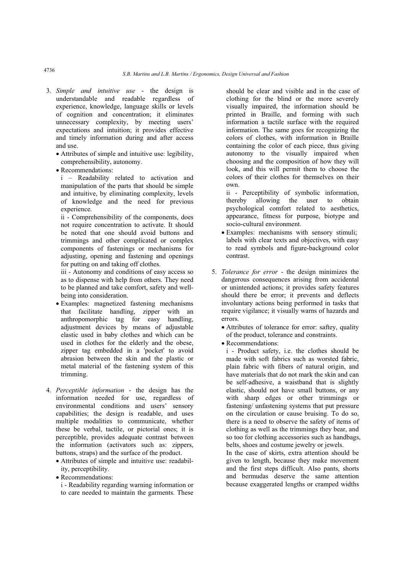- 3. *Simple and intuitive use*  the design is understandable and readable regardless of experience, knowledge, language skills or levels of cognition and concentration; it eliminates unnecessary complexity, by meeting users' expectations and intuition; it provides effective and timely information during and after access and use.
	- Attributes of simple and intuitive use: legibility, comprehensibility, autonomy.
	- Recommendations:

i – Readability related to activation and manipulation of the parts that should be simple and intuitive, by eliminating complexity, levels of knowledge and the need for previous experience.

ii - Comprehensibility of the components, does not require concentration to activate. It should be noted that one should avoid buttons and trimmings and other complicated or complex components of fastenings or mechanisms for adjusting, opening and fastening and openings for putting on and taking off clothes.

iii - Autonomy and conditions of easy access so as to dispense with help from others. They need to be planned and take comfort, safety and wellbeing into consideration.

- Examples: magnetized fastening mechanisms that facilitate handling, zipper with an anthropomorphic tag for easy handling, adjustment devices by means of adjustable elastic used in baby clothes and which can be used in clothes for the elderly and the obese, zipper tag embedded in a 'pocket' to avoid abrasion between the skin and the plastic or metal material of the fastening system of this trimming.
- 4. *Perceptible information* the design has the information needed for use, regardless of environmental conditions and users' sensory capabilities; the design is readable, and uses multiple modalities to communicate, whether these be verbal, tactile, or pictorial ones; it is perceptible, provides adequate contrast between the information (activators such as: zippers, buttons, straps) and the surface of the product.
	- Attributes of simple and intuitive use: readability, perceptibility.
	- Recommendations:

i - Readability regarding warning information or to care needed to maintain the garments. These should be clear and visible and in the case of clothing for the blind or the more severely visually impaired, the information should be printed in Braille, and forming with such information a tactile surface with the required information. The same goes for recognizing the colors of clothes, with information in Braille containing the color of each piece, thus giving autonomy to the visually impaired when choosing and the composition of how they will look, and this will permit them to choose the colors of their clothes for themselves on their own.

ii - Perceptibility of symbolic information, thereby allowing the user to obtain psychological comfort related to aesthetics, appearance, fitness for purpose, biotype and socio-cultural environment.

- Examples: mechanisms with sensory stimuli; labels with clear texts and objectives, with easy to read symbols and figure-background color contrast.
- 5. *Tolerance for error*  the design minimizes the dangerous consequences arising from accidental or unintended actions; it provides safety features should there be error; it prevents and deflects involuntary actions being performed in tasks that require vigilance; it visually warns of hazards and errors.
	- Attributes of tolerance for error: saftey, quality of the product, tolerance and constraints.
	- Recommendations:

i - Product safety, i.e. the clothes should be made with soft fabrics such as worsted fabric, plain fabric with fibers of natural origin, and have materials that do not mark the skin and can be self-adhesive, a waistband that is slightly elastic, should not have small buttons, or any with sharp edges or other trimmings or fastening/ unfastening systems that put pressure on the circulation or cause bruising. To do so, there is a need to observe the safety of items of clothing as well as the trimmings they bear, and so too for clothing accessories such as handbags, belts, shoes and costume jewelry or jewels.

In the case of skirts, extra attention should be given to length, because they make movement and the first steps difficult. Also pants, shorts and bermudas deserve the same attention because exaggerated lengths or cramped widths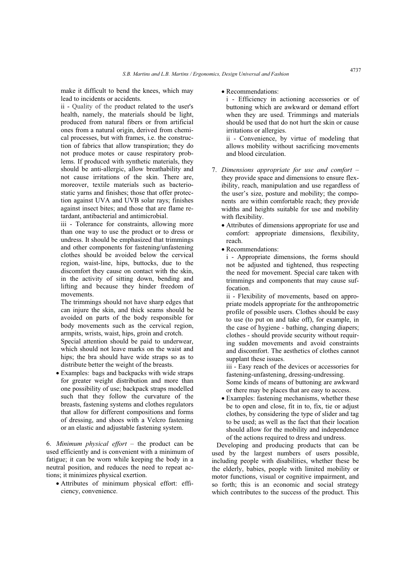make it difficult to bend the knees, which may lead to incidents or accidents.

ii - Quality of the product related to the user's health, namely, the materials should be light, produced from natural fibers or from artificial ones from a natural origin, derived from chemical processes, but with frames, i.e. the construction of fabrics that allow transpiration; they do not produce motes or cause respiratory problems. If produced with synthetic materials, they should be anti-allergic, allow breathability and not cause irritations of the skin. There are, moreover, textile materials such as bacteriostatic yarns and finishes; those that offer protection against UVA and UVB solar rays; finishes against insect bites; and those that are flame retardant, antibacterial and antimicrobial.

iii - Tolerance for constraints, allowing more than one way to use the product or to dress or undress. It should be emphasized that trimmings and other components for fastening/unfastening clothes should be avoided below the cervical region, waist-line, hips, buttocks, due to the discomfort they cause on contact with the skin, in the activity of sitting down, bending and lifting and because they hinder freedom of movements.

The trimmings should not have sharp edges that can injure the skin, and thick seams should be avoided on parts of the body responsible for body movements such as the cervical region, armpits, wrists, waist, hips, groin and crotch.

Special attention should be paid to underwear, which should not leave marks on the waist and hips; the bra should have wide straps so as to distribute better the weight of the breasts.

- Examples: bags and backpacks with wide straps for greater weight distribution and more than one possibility of use; backpack straps modelled such that they follow the curvature of the breasts, fastening systems and clothes regulators that allow for different compositions and forms of dressing, and shoes with a Velcro fastening or an elastic and adjustable fastening system.

6. *Minimum physical effort –* the product can be used efficiently and is convenient with a minimum of fatigue; it can be worn while keeping the body in a neutral position, and reduces the need to repeat actions; it minimizes physical exertion.

- Attributes of minimum physical effort: efficiency, convenience.

• Recommendations:

i - Efficiency in actioning accessories or of buttoning which are awkward or demand effort when they are used. Trimmings and materials should be used that do not hurt the skin or cause irritations or allergies.

ii - Convenience, by virtue of modeling that allows mobility without sacrificing movements and blood circulation.

- 7. *Dimensions appropriate for use and comfort*  they provide space and dimensions to ensure flexibility, reach, manipulation and use regardless of the user's size, posture and mobility; the components are within comfortable reach; they provide widths and heights suitable for use and mobility with flexibility.
	- Attributes of dimensions appropriate for use and comfort: appropriate dimensions, flexibility, reach.
	- Recommendations:

i - Appropriate dimensions, the forms should not be adjusted and tightened, thus respecting the need for movement. Special care taken with trimmings and components that may cause suffocation.

ii - Flexibility of movements, based on appropriate models appropriate for the anthropometric profile of possible users. Clothes should be easy to use (to put on and take off), for example, in the case of hygiene - bathing, changing diapers; clothes - should provide security without requiring sudden movements and avoid constraints and discomfort. The aesthetics of clothes cannot supplant these issues.

iii - Easy reach of the devices or accessories for fastening-unfastening, dressing-undressing. Some kinds of means of buttoning are awkward or there may be places that are easy to access.

- Examples: fastening mechanisms, whether these be to open and close, fit in to, fix, tie or adjust clothes, by considering the type of slider and tag to be used; as well as the fact that their location should allow for the mobility and independence of the actions required to dress and undress.

Developing and producing products that can be used by the largest numbers of users possible, including people with disabilities, whether these be the elderly, babies, people with limited mobility or motor functions, visual or cognitive impairment, and so forth; this is an economic and social strategy which contributes to the success of the product. This